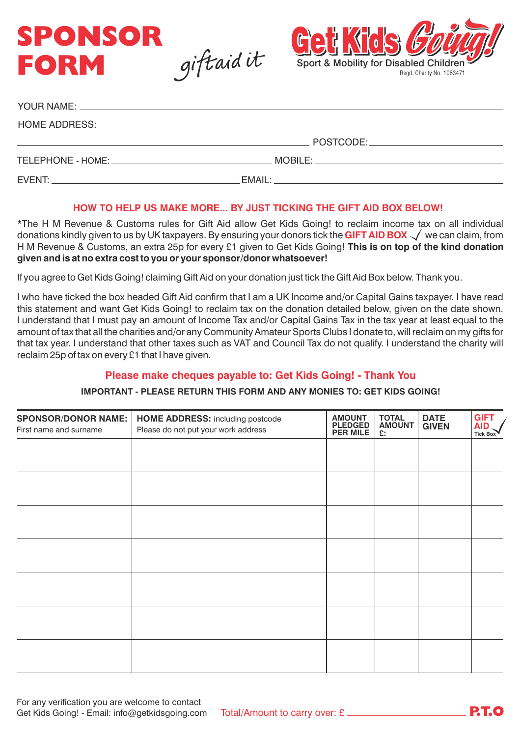



| MOBILE: A CONTROLLER STATE OF THE STATE OF THE STATE OF THE STATE OF THE STATE OF THE STATE OF THE STATE OF TH |
|----------------------------------------------------------------------------------------------------------------|
|                                                                                                                |

#### **HOW TO HELP US MAKE MORE... BY JUST TICKING THE GIFT AID BOX BELOW!**

\*The H M Revenue & Customs rules for Gift Aid allow Get Kids Going! to reclaim income tax on all individual donations kindly given to us by UK taxpayers. By ensuring your donors tick the **GIFT AID BOX**  $\checkmark$  we can claim, from H M Revenue & Customs, an extra 25p for every £1 given to Get Kids Going! **This is on top of the kind donation given and is at no extra cost to you or your sponsor/donor whatsoever!**

If you agree to Get Kids Going! claiming Gift Aid on your donation just tick the Gift Aid Box below. Thank you.

I who have ticked the box headed Gift Aid confirm that I am a UK Income and/or Capital Gains taxpayer. I have read this statement and want Get Kids Going! to reclaim tax on the donation detailed below, given on the date shown. I understand that I must pay an amount of Income Tax and/or Capital Gains Tax in the tax year at least equal to the amount of tax that all the charities and/or any Community Amateur Sports Clubs I donate to, will reclaim on my gifts for that tax year. I understand that other taxes such as VAT and Council Tax do not qualify. I understand the charity will reclaim 25p of tax on every £1 that I have given.

## **Please make cheques payable to: Get Kids Going! - Thank You**

**IMPORTANT - PLEASE RETURN THIS FORM AND ANY MONIES TO: GET KIDS GOING!** 

| <b>SPONSOR/DONOR NAME:</b><br>First name and surname | <b>HOME ADDRESS:</b> including postcode<br>Please do not put your work address | <b>AMOUNT</b><br><b>PLEDGED</b><br><b>PER MILE</b> | <b>TOTAL</b><br><b>AMOUNT</b><br>E: | <b>DATE</b><br><b>GIVEN</b> | <b>GIFT</b><br><b>AID</b><br><b>Tick Box</b> |
|------------------------------------------------------|--------------------------------------------------------------------------------|----------------------------------------------------|-------------------------------------|-----------------------------|----------------------------------------------|
|                                                      |                                                                                |                                                    |                                     |                             |                                              |
|                                                      |                                                                                |                                                    |                                     |                             |                                              |
|                                                      |                                                                                |                                                    |                                     |                             |                                              |
|                                                      |                                                                                |                                                    |                                     |                             |                                              |
|                                                      |                                                                                |                                                    |                                     |                             |                                              |
|                                                      |                                                                                |                                                    |                                     |                             |                                              |
|                                                      |                                                                                |                                                    |                                     |                             |                                              |